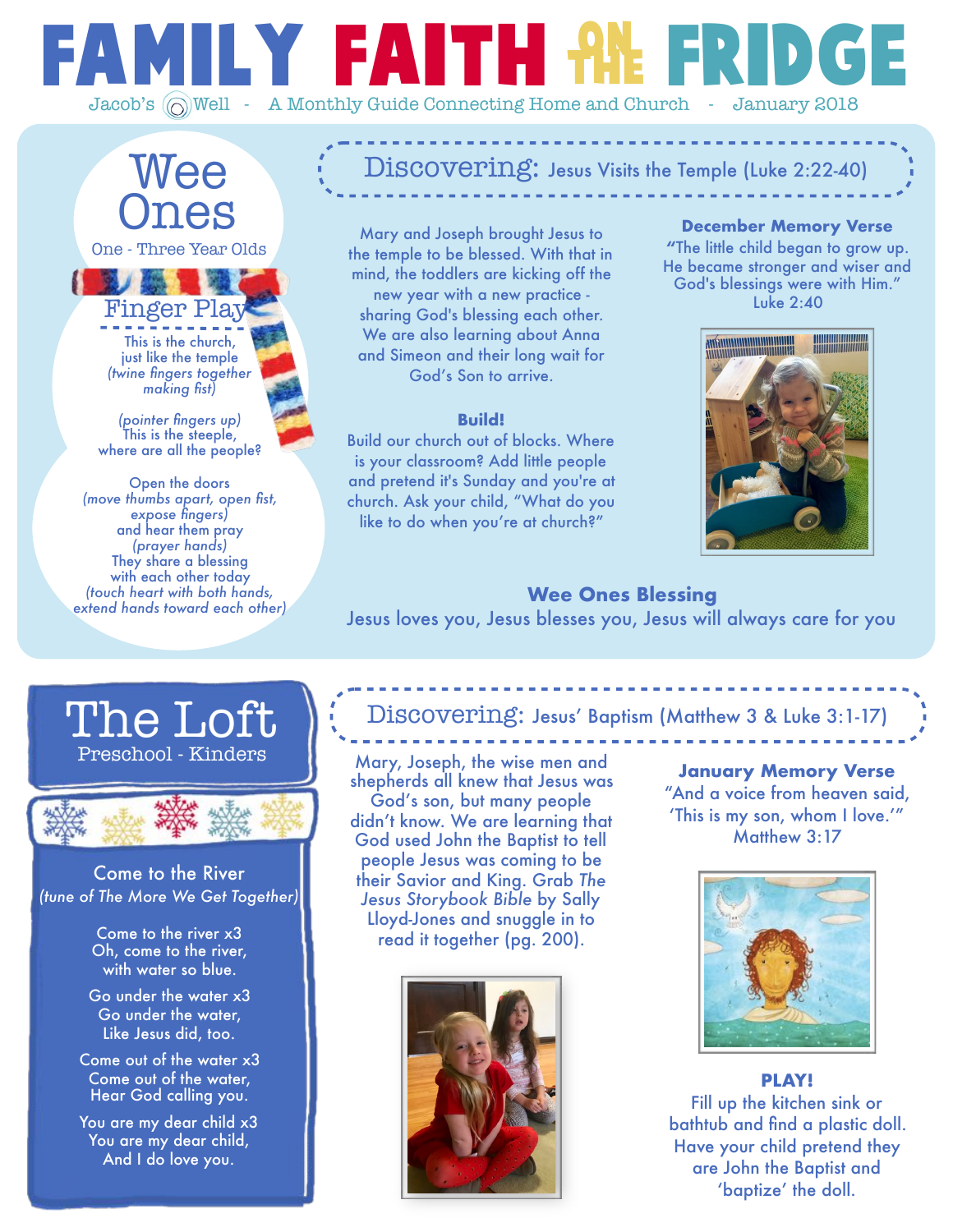# Family Faith Fridge on the Jacob's  $\textcircled{}}$  Well - A Monthly Guide Connecting Home and Church - January 2018

# Wee Ones

One - Three Year Olds

This is the church, just like the temple *(twine fingers together making fist)*  Finger Play

*(pointer fingers up)*  This is the steeple, where are all the people?

Open the doors *(move thumbs apart, open fist, expose fingers)*  and hear them pray *(prayer hands)*  They share a blessing with each other today *(touch heart with both hands, extend hands toward each other)* 

# Discovering: Jesus Visits the Temple (Luke 2:22-40)

Mary and Joseph brought Jesus to the temple to be blessed. With that in mind, the toddlers are kicking off the new year with a new practice sharing God's blessing each other. We are also learning about Anna and Simeon and their long wait for God's Son to arrive.

#### **Build!**

Build our church out of blocks. Where is your classroom? Add little people and pretend it's Sunday and you're at church. Ask your child, "What do you like to do when you're at church?"

**December Memory Verse "**The little child began to grow up. He became stronger and wiser and God's blessings were with Him." Luke 2:40



**Wee Ones Blessing**  Jesus loves you, Jesus blesses you, Jesus will always care for you

### Preschool - Kinders The Lot



Come to the River *(tune of The More We Get Together)*

> Come to the river x3 Oh, come to the river, with water so blue.

Go under the water x3 Go under the water, Like Jesus did, too.

Come out of the water x3 Come out of the water, Hear God calling you.

You are my dear child x3 You are my dear child, And I do love you.

### Discovering: Jesus' Baptism (Matthew 3 & Luke 3:1-17)

Mary, Joseph, the wise men and shepherds all knew that Jesus was God's son, but many people didn't know. We are learning that God used John the Baptist to tell people Jesus was coming to be their Savior and King. Grab *The Jesus Storybook Bible* by Sally Lloyd-Jones and snuggle in to read it together (pg. 200).



**January Memory Verse**  "And a voice from heaven said, 'This is my son, whom I love.'" Matthew 3:17



**PLAY!**  Fill up the kitchen sink or bathtub and find a plastic doll. Have your child pretend they are John the Baptist and 'baptize' the doll.